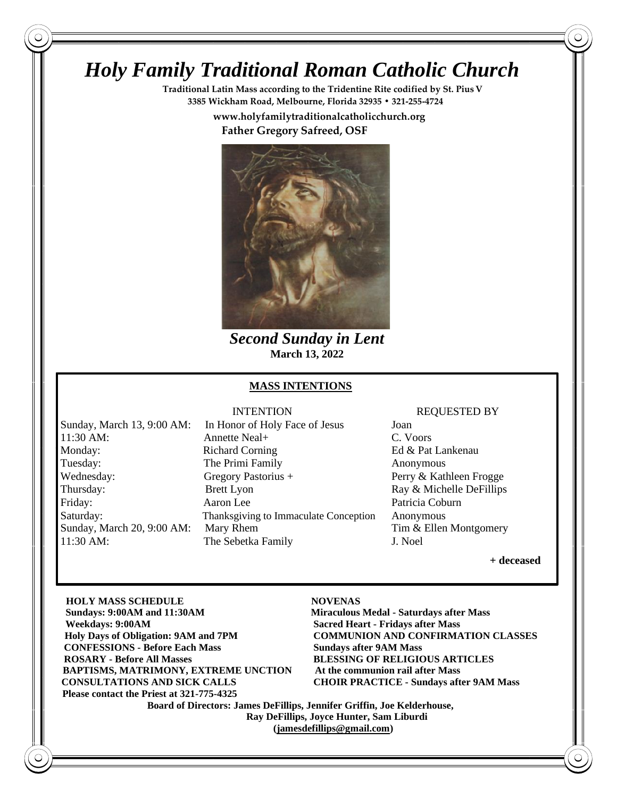# *Holy Family Traditional Roman Catholic Church*

**Traditional Latin Mass according to the Tridentine Rite codified by St. PiusV 3385 Wickham Road, Melbourne, Florida 32935 • 321-255-4724**

 **www.holyfamilytraditionalcatholicchurch.org**

 **Father Gregory Safreed, OSF**



 *Second Sunday in Lent*  **March 13, 2022**

### **MASS INTENTIONS**

11:30 AM: The Sebetka Family J. Noel

Sunday, March 13, 9:00 AM: In Honor of Holy Face of Jesus Joan 11:30 AM: Annette Neal+ C. Voors Monday: Richard Corning Ed & Pat Lankenau Tuesday: The Primi Family The Anonymous Wednesday: Gregory Pastorius + Perry & Kathleen Frogge Thursday: Brett Lyon Brett Lyon Ray & Michelle DeFillips Friday: Aaron Lee Patricia Coburn Aaron Lee Saturday: Thanksgiving to Immaculate Conception Anonymous Sunday, March 20, 9:00 AM: Mary Rhem Tim & Ellen Montgomery

### INTENTION REQUESTED BY

**+ deceased** 

**HOLY MASS SCHEDULE NOVENAS Sun Sundays: 9:00AM and 11:30AM Miraculous Medal - Saturdays after Mass Wee Weekdays: 9:00AM Sacred Heart - Fridays after Mass Holy Days of Obligation: 9AM and 7PM COMMUNION AND CONFIRMATION CLASSES CONFESSIONS - Before Each Mass Sundays after 9AM Mass RO ROSARY - Before All Masses BLESSING OF RELIGIOUS ARTICLES BAPTISMS, MATRIMONY, EXTREME UNCTION At the communion rail after Mass CO CONSULTATIONS AND SICK CALLS CHOIR PRACTICE - Sundays after 9AM Mass** Please contact the Priest at 321-775-4325

 **Board of Directors: James DeFillips, Jennifer Griffin, Joe Kelderhouse, Ray DeFillips, Joyce Hunter, Sam Liburdi [\(jamesdefillips@gmail.com\)](mailto:jamesdefillips@gmail.com)**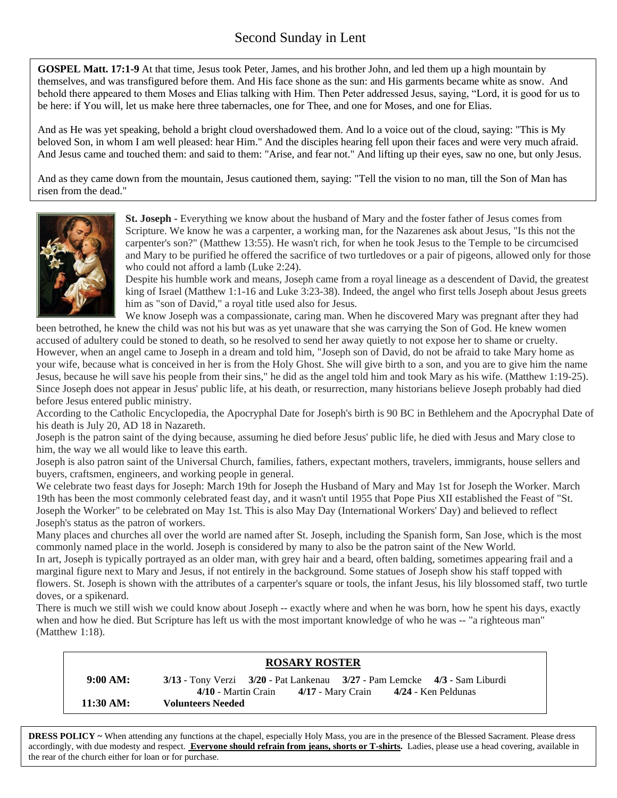## Second Sunday in Lent

**GOSPEL Matt. 17:1-9** At that time, Jesus took Peter, James, and his brother John, and led them up a high mountain by themselves, and was transfigured before them. And His face shone as the sun: and His garments became white as snow. And behold there appeared to them Moses and Elias talking with Him. Then Peter addressed Jesus, saying, "Lord, it is good for us to be here: if You will, let us make here three tabernacles, one for Thee, and one for Moses, and one for Elias.

And as He was yet speaking, behold a bright cloud overshadowed them. And lo a voice out of the cloud, saying: "This is My beloved Son, in whom I am well pleased: hear Him." And the disciples hearing fell upon their faces and were very much afraid. And Jesus came and touched them: and said to them: "Arise, and fear not." And lifting up their eyes, saw no one, but only Jesus.

And as they came down from the mountain, Jesus cautioned them, saying: "Tell the vision to no man, till the Son of Man has risen from the dead."



**St. Joseph -** Everything we know about the husband of Mary and the foster father of Jesus comes from Scripture. We know he was a carpenter, a working man, for the Nazarenes ask about Jesus, "Is this not the carpenter's son?" (Matthew 13:55). He wasn't rich, for when he took Jesus to the Temple to be circumcised and Mary to be purified he offered the sacrifice of two turtledoves or a pair of pigeons, allowed only for those who could not afford a lamb (Luke 2:24).

Despite his humble work and means, Joseph came from a royal lineage as a descendent of David, the greatest king of Israel (Matthew 1:1-16 and Luke 3:23-38). Indeed, the angel who first tells Joseph about Jesus greets him as "son of David," a royal title used also for Jesus.

We know Joseph was a compassionate, caring man. When he discovered Mary was pregnant after they had been betrothed, he knew the child was not his but was as yet unaware that she was carrying the Son of God. He knew women

accused of adultery could be stoned to death, so he resolved to send her away quietly to not expose her to shame or cruelty. However, when an angel came to Joseph in a dream and told him, "Joseph son of David, do not be afraid to take Mary home as your wife, because what is conceived in her is from the Holy Ghost. She will give birth to a son, and you are to give him the name Jesus, because he will save his people from their sins," he did as the angel told him and took Mary as his wife. (Matthew 1:19-25). Since Joseph does not appear in Jesus' public life, at his death, or resurrection, many historians believe Joseph probably had died before Jesus entered public ministry.

According to the Catholic Encyclopedia, the Apocryphal Date for Joseph's birth is 90 BC in Bethlehem and the Apocryphal Date of his death is July 20, AD 18 in Nazareth.

Joseph is the patron saint of the dying because, assuming he died before Jesus' public life, he died with Jesus and Mary close to him, the way we all would like to leave this earth.

Joseph is also patron saint of the Universal Church, families, fathers, expectant mothers, travelers, immigrants, house sellers and buyers, craftsmen, engineers, and working people in general.

We celebrate two feast days for Joseph: March 19th for Joseph the Husband of Mary and May 1st for Joseph the Worker. March 19th has been the most commonly celebrated feast day, and it wasn't until 1955 that Pope Pius XII established the Feast of "St. Joseph the Worker" to be celebrated on May 1st. This is also May Day (International Workers' Day) and believed to reflect Joseph's status as the patron of workers.

Many places and churches all over the world are named after St. Joseph, including the Spanish form, San Jose, which is the most commonly named place in the world. Joseph is considered by many to also be the patron saint of the New World.

In art, Joseph is typically portrayed as an older man, with grey hair and a beard, often balding, sometimes appearing frail and a marginal figure next to Mary and Jesus, if not entirely in the background. Some statues of Joseph show his staff topped with flowers. St. Joseph is shown with the attributes of a carpenter's square or tools, the infant Jesus, his lily blossomed staff, two turtle doves, or a spikenard.

There is much we still wish we could know about Joseph -- exactly where and when he was born, how he spent his days, exactly when and how he died. But Scripture has left us with the most important knowledge of who he was -- "a righteous man" (Matthew 1:18).

## **ROSARY ROSTER**

 **9:00 AM: 3/13** - Tony Verzi **3/20** - Pat Lankenau **3/27** - Pam Lemcke **4/3** - Sam Liburdi **4/10** - Martin Crain **4/17** - Mary Crain **4/24** - Ken Peldunas  **11:30 AM: Volunteers Needed**

 **DRESS POLICY ~** When attending any functions at the chapel, especially Holy Mass, you are in the presence of the Blessed Sacrament. Please dress accordingly, with due modesty and respect. **Everyone should refrain from jeans, shorts or T-shirts.** Ladies, please use a head covering, available in the rear of the church either for loan or for purchase.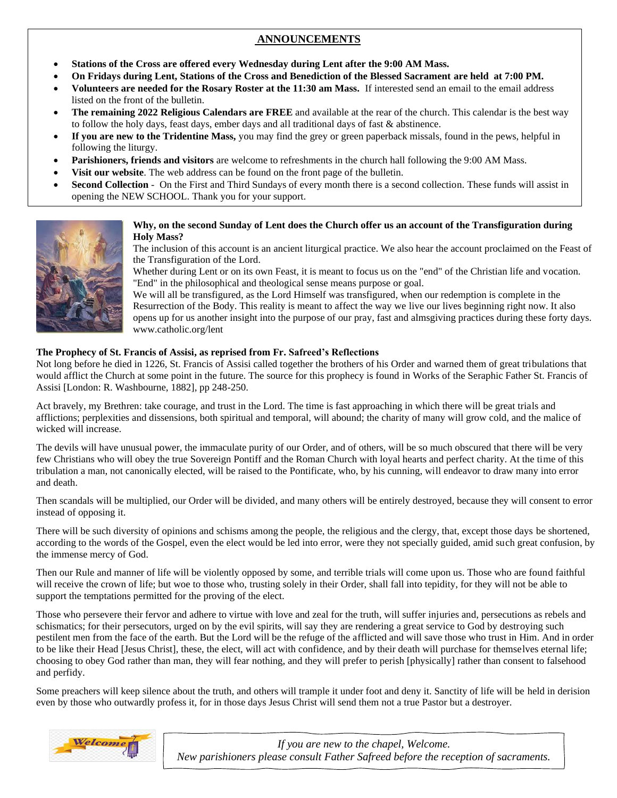## ANNOUNCEMENTS

- **Stations of the Cross are offered every Wednesday during Lent after the 9:00 AM Mass.**
- **On Fridays during Lent, Stations of the Cross and Benediction of the Blessed Sacrament are held at 7:00 PM.**
- **Volunteers are needed for the Rosary Roster at the 11:30 am Mass.** If interested send an email to the email address listed on the front of the bulletin.
- **The remaining 2022 Religious Calendars are FREE** and available at the rear of the church. This calendar is the best way to follow the holy days, feast days, ember days and all traditional days of fast  $\&$  abstinence.
- **If you are new to the Tridentine Mass,** you may find the grey or green paperback missals, found in the pews, helpful in following the liturgy.
- **Parishioners, friends and visitors** are welcome to refreshments in the church hall following the 9:00 AM Mass.
- **Visit our website**. The web address can be found on the front page of the bulletin.
- **Second Collection** On the First and Third Sundays of every month there is a second collection. These funds will assist in opening the NEW SCHOOL. Thank you for your support.



## **Why, on the second Sunday of Lent does the Church offer us an account of the Transfiguration during Holy Mass?**

The inclusion of this account is an ancient liturgical practice. We also hear the account proclaimed on the Feast of the Transfiguration of the Lord.

Whether during Lent or on its own Feast, it is meant to focus us on the "end" of the Christian life and vocation. "End" in the philosophical and theological sense means purpose or goal.

We will all be transfigured, as the Lord Himself was transfigured, when our redemption is complete in the Resurrection of the Body. This reality is meant to affect the way we live our lives beginning right now. It also opens up for us another insight into the purpose of our pray, fast and almsgiving practices during these forty days. www.catholic.org/lent

## **The Prophecy of St. Francis of Assisi, as reprised from Fr. Safreed's Reflections**

Not long before he died in 1226, St. Francis of Assisi called together the brothers of his Order and warned them of great tribulations that would afflict the Church at some point in the future. The source for this prophecy is found in Works of the Seraphic Father St. Francis of Assisi [London: R. Washbourne, 1882], pp 248-250.

Act bravely, my Brethren: take courage, and trust in the Lord. The time is fast approaching in which there will be great trials and afflictions; perplexities and dissensions, both spiritual and temporal, will abound; the charity of many will grow cold, and the malice of wicked will increase.

The devils will have unusual power, the immaculate purity of our Order, and of others, will be so much obscured that there will be very few Christians who will obey the true Sovereign Pontiff and the Roman Church with loyal hearts and perfect charity. At the time of this tribulation a man, not canonically elected, will be raised to the Pontificate, who, by his cunning, will endeavor to draw many into error and death.

Then scandals will be multiplied, our Order will be divided, and many others will be entirely destroyed, because they will consent to error instead of opposing it.

There will be such diversity of opinions and schisms among the people, the religious and the clergy, that, except those days be shortened, according to the words of the Gospel, even the elect would be led into error, were they not specially guided, amid such great confusion, by  the immense mercy of God.

Then our Rule and manner of life will be violently opposed by some, and terrible trials will come upon us. Those who are found faithful will receive the crown of life; but woe to those who, trusting solely in their Order, shall fall into tepidity, for they will not be able to support the temptations permitted for the proving of the elect.

Those who persevere their fervor and adhere to virtue with love and zeal for the truth, will suffer injuries and, persecutions as rebels and schismatics; for their persecutors, urged on by the evil spirits, will say they are rendering a great service to God by destroying such pestilent men from the face of the earth. But the Lord will be the refuge of the afflicted and will save those who trust in Him. And in order to be like their Head [Jesus Christ], these, the elect, will act with confidence, and by their death will purchase for themselves eternal life; choosing to obey God rather than man, they will fear nothing, and they will prefer to perish [physically] rather than consent to falsehood and perfidy.

Some preachers will keep silence about the truth, and others will trample it under foot and deny it. Sanctity of life will be held in derision even by those who outwardly profess it, for in those days Jesus Christ will send them not a true Pastor but a destroyer.



*If you are new to the chapel, Welcome. New parishioners please consult Father Safreed before the reception of sacraments.*